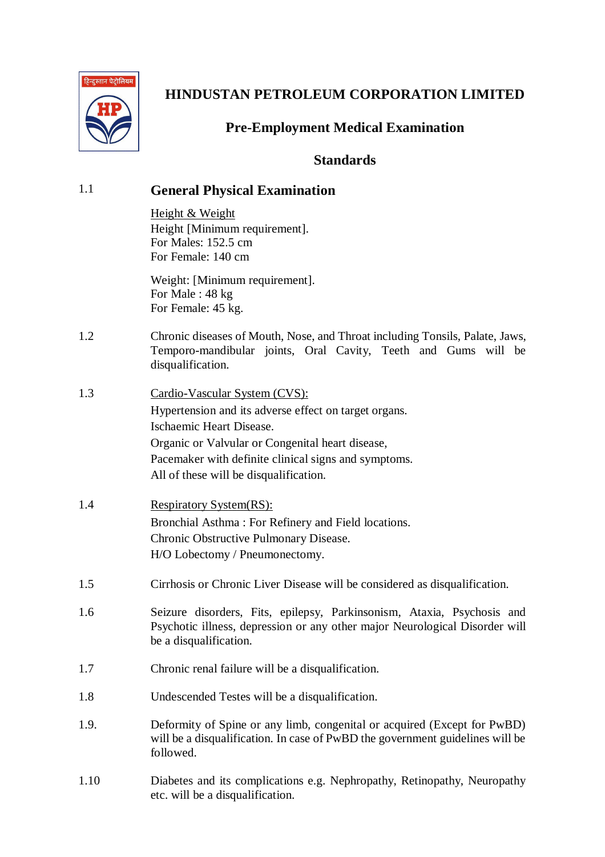

## **Pre-Employment Medical Examination**

## **Standards**

| 1.1  | <b>General Physical Examination</b>                                                                                                                                                                                                                                             |  |  |  |  |
|------|---------------------------------------------------------------------------------------------------------------------------------------------------------------------------------------------------------------------------------------------------------------------------------|--|--|--|--|
|      | Height & Weight<br>Height [Minimum requirement].<br>For Males: 152.5 cm<br>For Female: 140 cm                                                                                                                                                                                   |  |  |  |  |
|      | Weight: [Minimum requirement].<br>For Male: 48 kg<br>For Female: 45 kg.                                                                                                                                                                                                         |  |  |  |  |
| 1.2  | Chronic diseases of Mouth, Nose, and Throat including Tonsils, Palate, Jaws,<br>Temporo-mandibular joints, Oral Cavity, Teeth and Gums will be<br>disqualification.                                                                                                             |  |  |  |  |
| 1.3  | <u>Cardio-Vascular System (CVS):</u><br>Hypertension and its adverse effect on target organs.<br>Ischaemic Heart Disease.<br>Organic or Valvular or Congenital heart disease,<br>Pacemaker with definite clinical signs and symptoms.<br>All of these will be disqualification. |  |  |  |  |
| 1.4  | <b>Respiratory System(RS):</b><br>Bronchial Asthma: For Refinery and Field locations.<br>Chronic Obstructive Pulmonary Disease.<br>H/O Lobectomy / Pneumonectomy.                                                                                                               |  |  |  |  |
| 1.5  | Cirrhosis or Chronic Liver Disease will be considered as disqualification.                                                                                                                                                                                                      |  |  |  |  |
| 1.6  | Seizure disorders, Fits, epilepsy, Parkinsonism, Ataxia, Psychosis and<br>Psychotic illness, depression or any other major Neurological Disorder will<br>be a disqualification.                                                                                                 |  |  |  |  |
| 1.7  | Chronic renal failure will be a disqualification.                                                                                                                                                                                                                               |  |  |  |  |
| 1.8  | Undescended Testes will be a disqualification.                                                                                                                                                                                                                                  |  |  |  |  |
| 1.9. | Deformity of Spine or any limb, congenital or acquired (Except for PwBD)<br>will be a disqualification. In case of PwBD the government guidelines will be<br>followed.                                                                                                          |  |  |  |  |
| 1.10 | Diabetes and its complications e.g. Nephropathy, Retinopathy, Neuropathy<br>etc. will be a disqualification.                                                                                                                                                                    |  |  |  |  |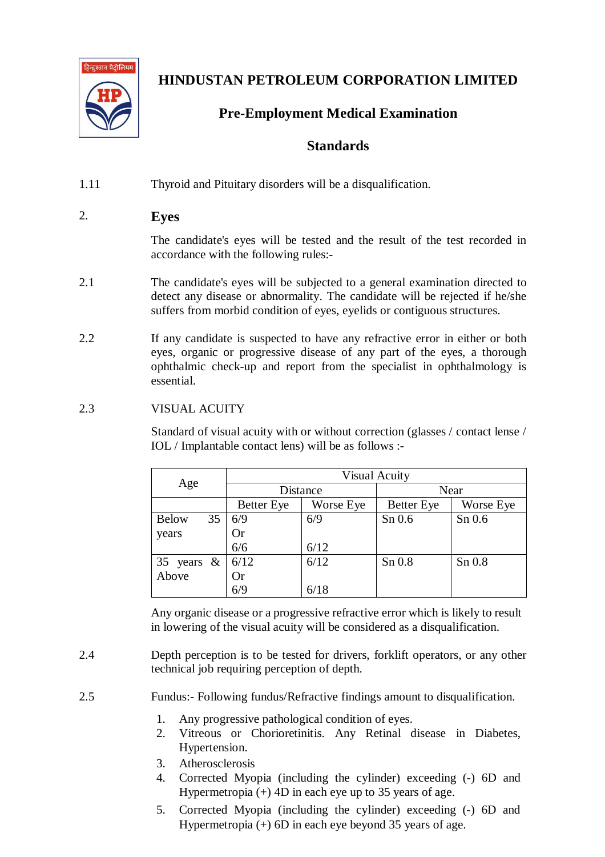

## **Pre-Employment Medical Examination**

### **Standards**

1.11 Thyroid and Pituitary disorders will be a disqualification.

### 2. **Eyes**

The candidate's eyes will be tested and the result of the test recorded in accordance with the following rules:-

- 2.1 The candidate's eyes will be subjected to a general examination directed to detect any disease or abnormality. The candidate will be rejected if he/she suffers from morbid condition of eyes, eyelids or contiguous structures.
- 2.2 If any candidate is suspected to have any refractive error in either or both eyes, organic or progressive disease of any part of the eyes, a thorough ophthalmic check-up and report from the specialist in ophthalmology is essential.

#### 2.3 VISUAL ACUITY

Standard of visual acuity with or without correction (glasses / contact lense / IOL / Implantable contact lens) will be as follows :-

|                    | <b>Visual Acuity</b> |           |                   |           |
|--------------------|----------------------|-----------|-------------------|-----------|
| Age                | Distance             |           | Near              |           |
|                    | <b>Better</b> Eye    | Worse Eye | <b>Better</b> Eye | Worse Eye |
| 35<br><b>Below</b> | 6/9                  | 6/9       | $Sn$ 0.6          | $Sn$ 0.6  |
| years              | Or                   |           |                   |           |
|                    | 6/6                  | 6/12      |                   |           |
| 35 years $\&$      | 6/12                 | 6/12      | $Sn$ $0.8$        | $Sn$ 0.8  |
| Above              | <b>Or</b>            |           |                   |           |
|                    | 6/9                  | 6/18      |                   |           |

Any organic disease or a progressive refractive error which is likely to result in lowering of the visual acuity will be considered as a disqualification.

- 2.4 Depth perception is to be tested for drivers, forklift operators, or any other technical job requiring perception of depth.
- 2.5 Fundus:- Following fundus/Refractive findings amount to disqualification.
	- 1. Any progressive pathological condition of eyes.
	- 2. Vitreous or Chorioretinitis. Any Retinal disease in Diabetes, Hypertension.
	- 3. Atherosclerosis
	- 4. Corrected Myopia (including the cylinder) exceeding (-) 6D and Hypermetropia  $(+)$  4D in each eye up to 35 years of age.
	- 5. Corrected Myopia (including the cylinder) exceeding (-) 6D and Hypermetropia  $(+)$  6D in each eye beyond 35 years of age.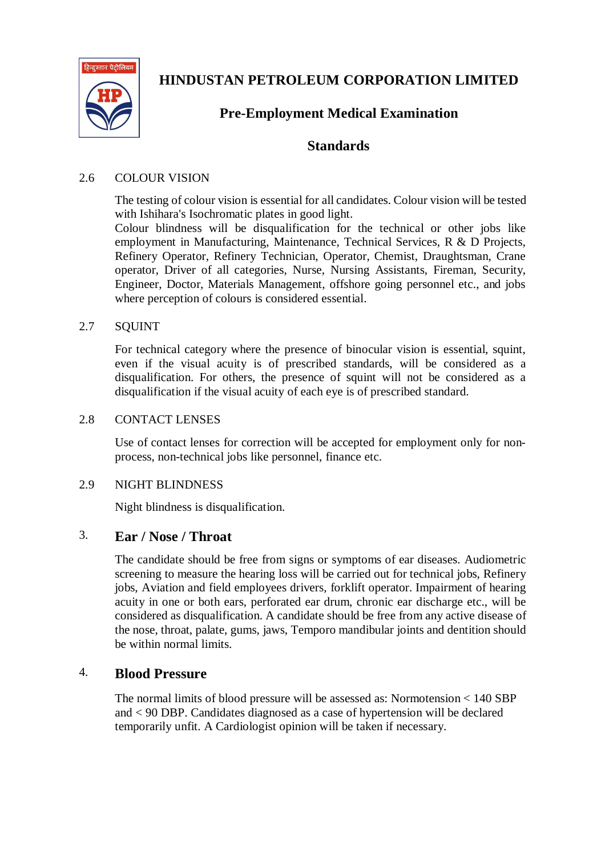

## **Pre-Employment Medical Examination**

### **Standards**

#### 2.6 COLOUR VISION

The testing of colour vision is essential for all candidates. Colour vision will be tested with Ishihara's Isochromatic plates in good light.

Colour blindness will be disqualification for the technical or other jobs like employment in Manufacturing, Maintenance, Technical Services, R & D Projects, Refinery Operator, Refinery Technician, Operator, Chemist, Draughtsman, Crane operator, Driver of all categories, Nurse, Nursing Assistants, Fireman, Security, Engineer, Doctor, Materials Management, offshore going personnel etc., and jobs where perception of colours is considered essential.

#### 2.7 SQUINT

For technical category where the presence of binocular vision is essential, squint, even if the visual acuity is of prescribed standards, will be considered as a disqualification. For others, the presence of squint will not be considered as a disqualification if the visual acuity of each eye is of prescribed standard.

#### 2.8 CONTACT LENSES

Use of contact lenses for correction will be accepted for employment only for nonprocess, non-technical jobs like personnel, finance etc.

#### 2.9 NIGHT BLINDNESS

Night blindness is disqualification.

#### 3. **Ear / Nose / Throat**

The candidate should be free from signs or symptoms of ear diseases. Audiometric screening to measure the hearing loss will be carried out for technical jobs, Refinery jobs, Aviation and field employees drivers, forklift operator. Impairment of hearing acuity in one or both ears, perforated ear drum, chronic ear discharge etc., will be considered as disqualification. A candidate should be free from any active disease of the nose, throat, palate, gums, jaws, Temporo mandibular joints and dentition should be within normal limits.

### 4. **Blood Pressure**

The normal limits of blood pressure will be assessed as: Normotension < 140 SBP and < 90 DBP. Candidates diagnosed as a case of hypertension will be declared temporarily unfit. A Cardiologist opinion will be taken if necessary.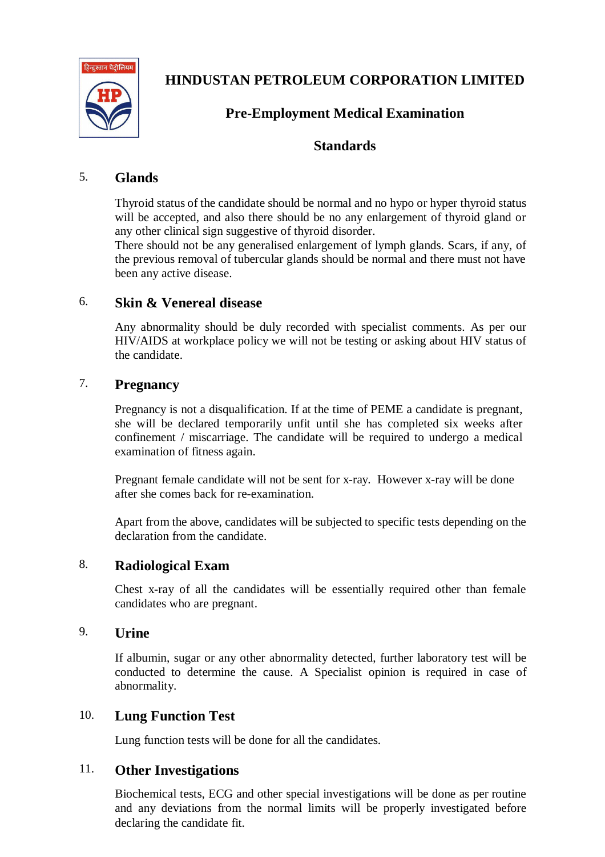

### **Pre-Employment Medical Examination**

### **Standards**

### 5. **Glands**

Thyroid status of the candidate should be normal and no hypo or hyper thyroid status will be accepted, and also there should be no any enlargement of thyroid gland or any other clinical sign suggestive of thyroid disorder.

There should not be any generalised enlargement of lymph glands. Scars, if any, of the previous removal of tubercular glands should be normal and there must not have been any active disease.

### 6. **Skin & Venereal disease**

Any abnormality should be duly recorded with specialist comments. As per our HIV/AIDS at workplace policy we will not be testing or asking about HIV status of the candidate.

#### 7. **Pregnancy**

Pregnancy is not a disqualification. If at the time of PEME a candidate is pregnant, she will be declared temporarily unfit until she has completed six weeks after confinement / miscarriage. The candidate will be required to undergo a medical examination of fitness again.

Pregnant female candidate will not be sent for x-ray. However x-ray will be done after she comes back for re-examination.

Apart from the above, candidates will be subjected to specific tests depending on the declaration from the candidate.

### 8. **Radiological Exam**

Chest x-ray of all the candidates will be essentially required other than female candidates who are pregnant.

### 9. **Urine**

If albumin, sugar or any other abnormality detected, further laboratory test will be conducted to determine the cause. A Specialist opinion is required in case of abnormality.

#### 10. **Lung Function Test**

Lung function tests will be done for all the candidates.

#### 11. **Other Investigations**

Biochemical tests, ECG and other special investigations will be done as per routine and any deviations from the normal limits will be properly investigated before declaring the candidate fit.